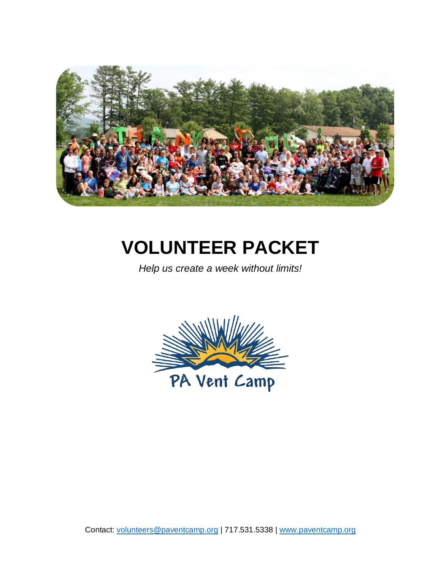

# **VOLUNTEER PACKET**

*Help us create a week without limits!*



Contact: [volunteers@paventcamp.org](mailto:volunteers@paventcamp.org) | 717.531.5338 | [www.paventcamp.org](http://www.paventcamp.org/)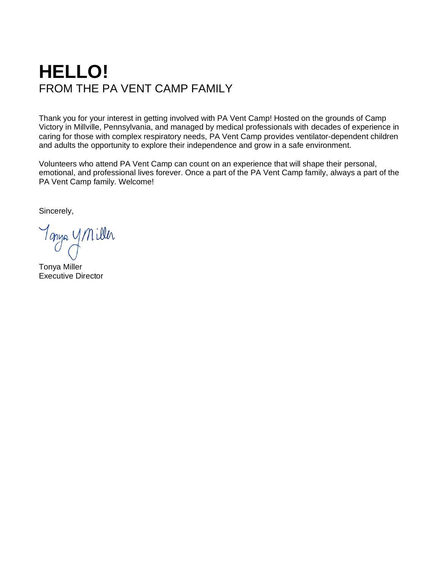#### **HELLO!** FROM THE PA VENT CAMP FAMILY

Thank you for your interest in getting involved with PA Vent Camp! Hosted on the grounds of Camp Victory in Millville, Pennsylvania, and managed by medical professionals with decades of experience in caring for those with complex respiratory needs, PA Vent Camp provides ventilator-dependent children and adults the opportunity to explore their independence and grow in a safe environment.

Volunteers who attend PA Vent Camp can count on an experience that will shape their personal, emotional, and professional lives forever. Once a part of the PA Vent Camp family, always a part of the PA Vent Camp family. Welcome!

Sincerely,

Tonya YMiller

Tonya Miller Executive Director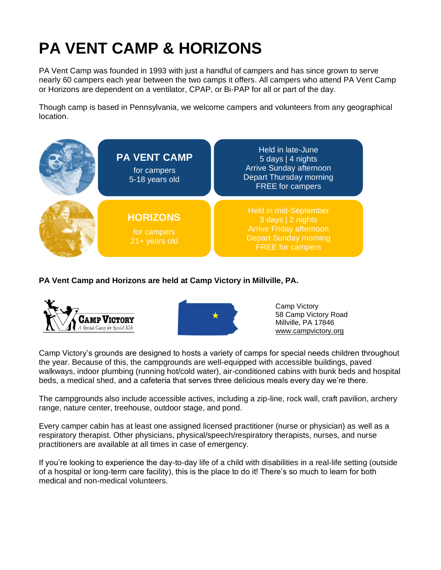## **PA VENT CAMP & HORIZONS**

PA Vent Camp was founded in 1993 with just a handful of campers and has since grown to serve nearly 60 campers each year between the two camps it offers. All campers who attend PA Vent Camp or Horizons are dependent on a ventilator, CPAP, or Bi-PAP for all or part of the day.

Though camp is based in Pennsylvania, we welcome campers and volunteers from any geographical location.



**PA Vent Camp and Horizons are held at Camp Victory in Millville, PA.**





Camp Victory 58 Camp Victory Road Millville, PA 17846 www.campvictory.org

Camp Victory's grounds are designed to hosts a variety of camps for special needs children throughout the year. Because of this, the campgrounds are well-equipped with accessible buildings, paved walkways, indoor plumbing (running hot/cold water), air-conditioned cabins with bunk beds and hospital beds, a medical shed, and a cafeteria that serves three delicious meals every day we're there.

The campgrounds also include accessible actives, including a zip-line, rock wall, craft pavilion, archery range, nature center, treehouse, outdoor stage, and pond.

Every camper cabin has at least one assigned licensed practitioner (nurse or physician) as well as a respiratory therapist. Other physicians, physical/speech/respiratory therapists, nurses, and nurse practitioners are available at all times in case of emergency.

If you're looking to experience the day-to-day life of a child with disabilities in a real-life setting (outside of a hospital or long-term care facility), this is the place to do it! There's so much to learn for both medical and non-medical volunteers.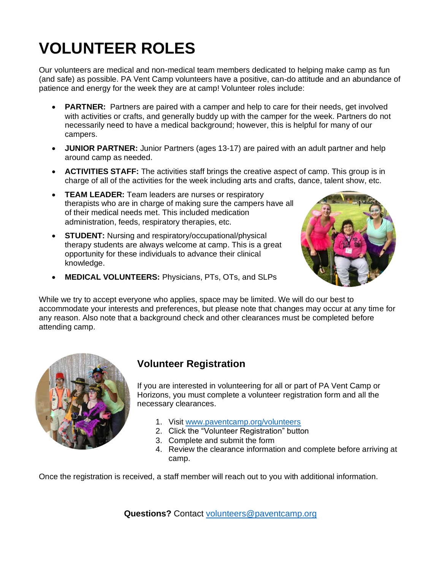### **VOLUNTEER ROLES**

Our volunteers are medical and non-medical team members dedicated to helping make camp as fun (and safe) as possible. PA Vent Camp volunteers have a positive, can-do attitude and an abundance of patience and energy for the week they are at camp! Volunteer roles include:

- **PARTNER:** Partners are paired with a camper and help to care for their needs, get involved with activities or crafts, and generally buddy up with the camper for the week. Partners do not necessarily need to have a medical background; however, this is helpful for many of our campers.
- **JUNIOR PARTNER:** Junior Partners (ages 13-17) are paired with an adult partner and help around camp as needed.
- **ACTIVITIES STAFF:** The activities staff brings the creative aspect of camp. This group is in charge of all of the activities for the week including arts and crafts, dance, talent show, etc.
- **TEAM LEADER:** Team leaders are nurses or respiratory therapists who are in charge of making sure the campers have all of their medical needs met. This included medication administration, feeds, respiratory therapies, etc.
- **STUDENT:** Nursing and respiratory/occupational/physical therapy students are always welcome at camp. This is a great opportunity for these individuals to advance their clinical knowledge.





While we try to accept everyone who applies, space may be limited. We will do our best to accommodate your interests and preferences, but please note that changes may occur at any time for any reason. Also note that a background check and other clearances must be completed before attending camp.



#### **Volunteer Registration**

If you are interested in volunteering for all or part of PA Vent Camp or Horizons, you must complete a volunteer registration form and all the necessary clearances.

- 1. Visit [www.paventcamp.org/volunteers](http://www.paventcamp.org/volunteers)
- 2. Click the "Volunteer Registration" button
- 3. Complete and submit the form
- 4. Review the clearance information and complete before arriving at camp.

Once the registration is received, a staff member will reach out to you with additional information.

**Questions?** Contact [volunteers@paventcamp.org](mailto:volunteers@paventcamp.org)